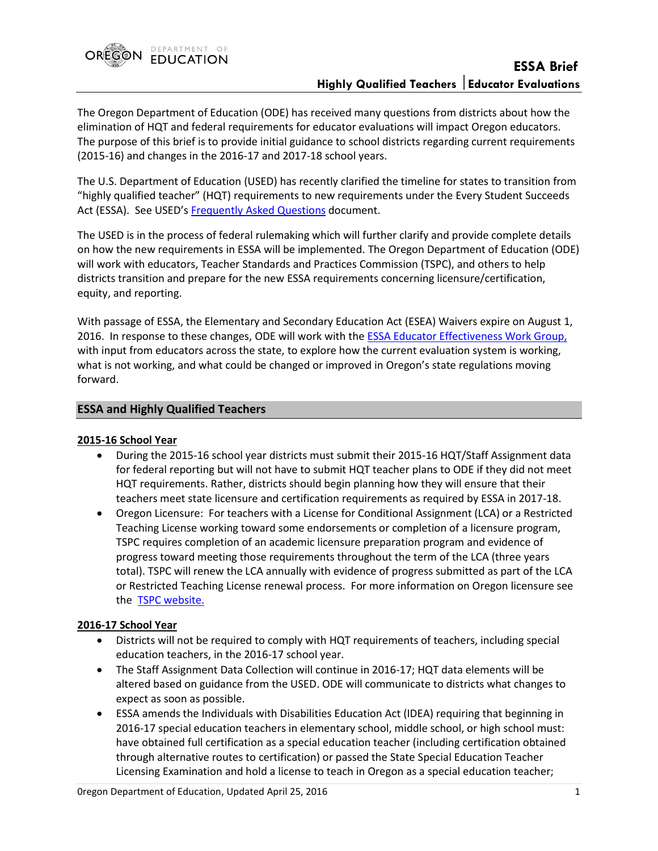

The Oregon Department of Education (ODE) has received many questions from districts about how the elimination of HQT and federal requirements for educator evaluations will impact Oregon educators. The purpose of this brief is to provide initial guidance to school districts regarding current requirements (2015-16) and changes in the 2016-17 and 2017-18 school years.

The U.S. Department of Education (USED) has recently clarified the timeline for states to transition from "highly qualified teacher" (HQT) requirements to new requirements under the Every Student Succeeds Act (ESSA). See USED's Frequently [Asked Questions](http://www2.ed.gov/policy/elsec/leg/essa/faq/essa-faqs.pdf) document.

The USED is in the process of federal rulemaking which will further clarify and provide complete details on how the new requirements in ESSA will be implemented. The Oregon Department of Education (ODE) will work with educators, Teacher Standards and Practices Commission (TSPC), and others to help districts transition and prepare for the new ESSA requirements concerning licensure/certification, equity, and reporting.

With passage of ESSA, the Elementary and Secondary Education Act (ESEA) Waivers expire on August 1, 2016. In response to these changes, ODE will work with the **ESSA Educator Effectiveness Work Group**, with input from educators across the state, to explore how the current evaluation system is working, what is not working, and what could be changed or improved in Oregon's state regulations moving forward.

## **ESSA and Highly Qualified Teachers**

### **2015-16 School Year**

- During the 2015-16 school year districts must submit their 2015-16 HQT/Staff Assignment data for federal reporting but will not have to submit HQT teacher plans to ODE if they did not meet HQT requirements. Rather, districts should begin planning how they will ensure that their teachers meet state licensure and certification requirements as required by ESSA in 2017-18.
- Oregon Licensure: For teachers with a License for Conditional Assignment (LCA) or a Restricted Teaching License working toward some endorsements or completion of a licensure program, TSPC requires completion of an academic licensure preparation program and evidence of progress toward meeting those requirements throughout the term of the LCA (three years total). TSPC will renew the LCA annually with evidence of progress submitted as part of the LCA or Restricted Teaching License renewal process. For more information on Oregon licensure see the [TSPC website.](http://www.oregon.gov/TSPC)

### **2016-17 School Year**

- Districts will not be required to comply with HQT requirements of teachers, including special education teachers, in the 2016-17 school year.
- The Staff Assignment Data Collection will continue in 2016-17; HQT data elements will be altered based on guidance from the USED. ODE will communicate to districts what changes to expect as soon as possible.
- ESSA amends the Individuals with Disabilities Education Act (IDEA) requiring that beginning in 2016-17 special education teachers in elementary school, middle school, or high school must: have obtained full certification as a special education teacher (including certification obtained through alternative routes to certification) or passed the State Special Education Teacher Licensing Examination and hold a license to teach in Oregon as a special education teacher;